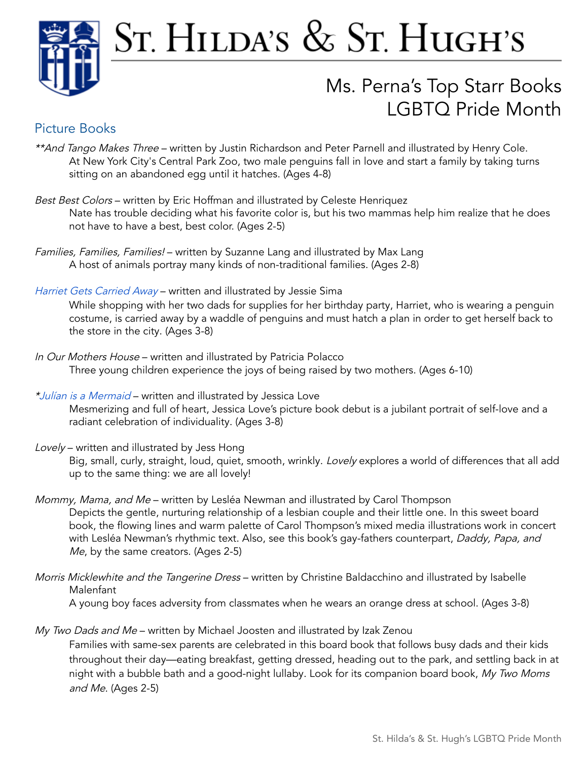

# ST. HILDA'S & ST. HUGH'S

## Ms. Perna's Top Starr Books LGBTQ Pride Month

## Picture Books

- \*\*And Tango Makes Three written by Justin Richardson and Peter Parnell and illustrated by Henry Cole. At New York City's Central Park Zoo, two male penguins fall in love and start a family by taking turns sitting on an abandoned egg until it hatches. (Ages 4-8)
- Best Best Colors written by Eric Hoffman and illustrated by Celeste Henriquez Nate has trouble deciding what his favorite color is, but his two mammas help him realize that he does not have to have a best, best color. (Ages 2-5)
- Families, Families, Families! written by Suzanne Lang and illustrated by Max Lang A host of animals portray many kinds of non-traditional families. (Ages 2-8)
- Harriet Gets [Carried](https://soraapp.com/library/hvlany/search/query-Harriet%20Gets%20Carried%20Away%20/libraries-202819,360227,89,37,62,86/page-1/360227/3441624) Away written and illustrated by Jessie Sima

While shopping with her two dads for supplies for her birthday party, Harriet, who is wearing a penguin costume, is carried away by a waddle of penguins and must hatch a plan in order to get herself back to the store in the city. (Ages 3-8)

- In Our Mothers House written and illustrated by Patricia Polacco Three young children experience the joys of being raised by two mothers. (Ages 6-10)
- \*Julían is <sup>a</sup> [Mermaid](https://soraapp.com/library/hvlany/search/query-Jul%C3%ADan%20is%20a%20Mermaid%20/libraries-202819,360227,89,37,62,86/page-1/360227/4759169) written and illustrated by Jessica Love Mesmerizing and full of heart, Jessica Love's picture book debut is a jubilant portrait of self-love and a radiant celebration of individuality. (Ages 3-8)
- Lovely written and illustrated by Jess Hong Big, small, curly, straight, loud, quiet, smooth, wrinkly. Lovely explores a world of differences that all add up to the same thing: we are all lovely!
- Mommy, Mama, and Me written by Lesléa Newman and illustrated by Carol Thompson Depicts the gentle, nurturing relationship of a lesbian couple and their little one. In this sweet board book, the flowing lines and warm palette of Carol Thompson's mixed media illustrations work in concert with Lesléa Newman's rhythmic text. Also, see this book's gay-fathers counterpart, Daddy, Papa, and Me, by the same creators. (Ages 2-5)
- Morris Micklewhite and the Tangerine Dress written by Christine Baldacchino and illustrated by Isabelle Malenfant

A young boy faces adversity from classmates when he wears an orange dress at school. (Ages 3-8)

My Two Dads and Me - written by Michael Joosten and illustrated by Izak Zenou

Families with same-sex parents are celebrated in this board book that follows busy dads and their kids throughout their day—eating breakfast, getting dressed, heading out to the park, and settling back in at night with a bubble bath and a good-night lullaby. Look for its companion board book, My Two Moms and Me. (Ages 2-5)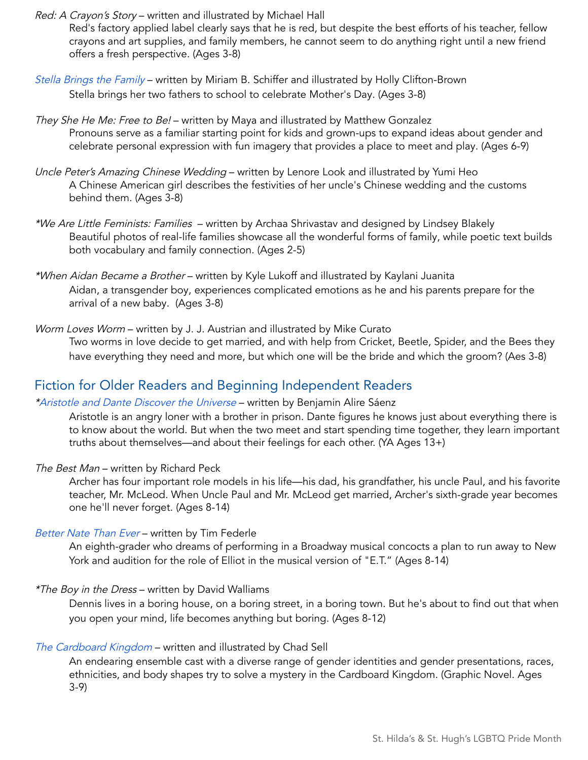Red: A Crayon's Story - written and illustrated by Michael Hall

Red's factory applied label clearly says that he is red, but despite the best efforts of his teacher, fellow crayons and art supplies, and family members, he cannot seem to do anything right until a new friend offers a fresh perspective. (Ages 3-8)

- Stella Brings the [Family](https://soraapp.com/library/sthildasny/search/query-Stella%20Brings%20the%20Family/libraries-202819,360227,89,37,62,86/page-1/202819/2036275) written by Miriam B. Schiffer and illustrated by Holly Clifton-Brown Stella brings her two fathers to school to celebrate Mother's Day. (Ages 3-8)
- They She He Me: Free to Be! written by Maya and illustrated by Matthew Gonzalez Pronouns serve as a familiar starting point for kids and grown-ups to expand ideas about gender and celebrate personal expression with fun imagery that provides a place to meet and play. (Ages 6-9)
- Uncle Peter's Amazing Chinese Wedding written by Lenore Look and illustrated by Yumi Heo A Chinese American girl describes the festivities of her uncle's Chinese wedding and the customs behind them. (Ages 3-8)
- \*We Are Little Feminists: Families written by Archaa Shrivastav and designed by Lindsey Blakely Beautiful photos of real-life families showcase all the wonderful forms of family, while poetic text builds both vocabulary and family connection. (Ages 2-5)
- \*When Aidan Became <sup>a</sup> Brother written by Kyle Lukoff and illustrated by Kaylani Juanita Aidan, a transgender boy, experiences complicated emotions as he and his parents prepare for the arrival of a new baby. (Ages 3-8)

Worm Loves Worm - written by J. J. Austrian and illustrated by Mike Curato Two worms in love decide to get married, and with help from Cricket, Beetle, Spider, and the Bees they have everything they need and more, but which one will be the bride and which the groom? (Aes 3-8)

## Fiction for Older Readers and Beginning Independent Readers

#### [\\*Aristotle](https://soraapp.com/library/hvlany/search/query-Aristotle%20and%20Dante%20Discover%20the%20Universe%20/libraries-202819,360227,89,37,62,86/page-1/360227/778161) and Dante Discover the Universe - written by Benjamin Alire Sáenz

Aristotle is an angry loner with a brother in prison. Dante figures he knows just about everything there is to know about the world. But when the two meet and start spending time together, they learn important truths about themselves—and about their feelings for each other. (YA Ages 13+)

The Best Man - written by Richard Peck

Archer has four important role models in his life—his dad, his grandfather, his uncle Paul, and his favorite teacher, Mr. McLeod. When Uncle Paul and Mr. McLeod get married, Archer's sixth-grade year becomes one he'll never forget. (Ages 8-14)

#### [Better](https://soraapp.com/library/sthildasny/search/query-Better%20Nate%20Than%20Ever/libraries-202819,360227,89,37,62,86/page-1/202819/1243657) Nate Than Ever - written by Tim Federle

An eighth-grader who dreams of performing in a Broadway musical concocts a plan to run away to New York and audition for the role of Elliot in the musical version of "E.T." (Ages 8-14)

#### \*The Boy in the Dress – written by David Walliams

Dennis lives in a boring house, on a boring street, in a boring town. But he's about to find out that when you open your mind, life becomes anything but boring. (Ages 8-12)

#### The Cardboard [Kingdom](https://soraapp.com/library/hvlany/search/query-The%20Cardboard%20Kingdom/libraries-202819,360227,89,37,62,86/page-1/360227/3879225) – written and illustrated by Chad Sell

An endearing ensemble cast with a diverse range of gender identities and gender presentations, races, ethnicities, and body shapes try to solve a mystery in the Cardboard Kingdom. (Graphic Novel. Ages 3-9)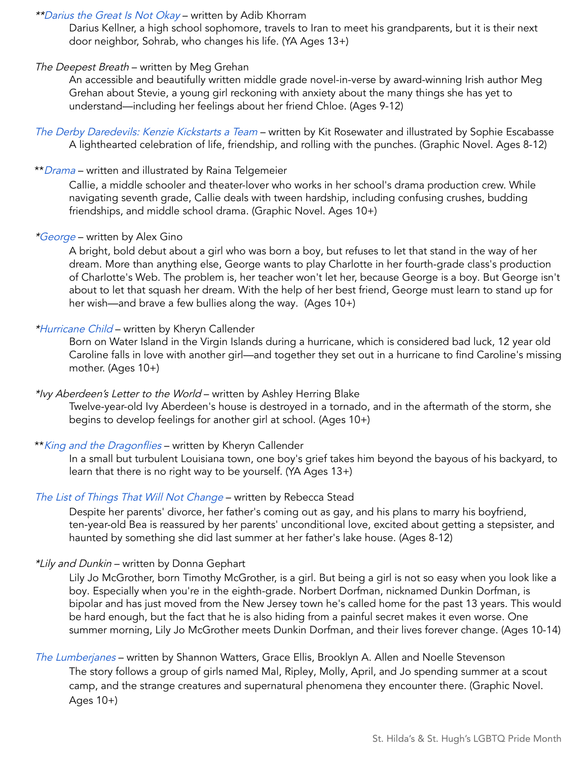#### \*\*Darius the Great Is Not [Okay](https://soraapp.com/library/hvlany/search/query-Darius%20the%20Great%20Is%20Not%20Okay/libraries-202819,360227,89,37,62,86/page-1/360227/3682347) – written by Adib Khorram

Darius Kellner, a high school sophomore, travels to Iran to meet his grandparents, but it is their next door neighbor, Sohrab, who changes his life. (YA Ages 13+)

#### The Deepest Breath – written by Meg Grehan

An accessible and beautifully written middle grade novel-in-verse by award-winning Irish author Meg Grehan about Stevie, a young girl reckoning with anxiety about the many things she has yet to understand—including her feelings about her friend Chloe. (Ages 9-12)

The Derby [Daredevils:](https://soraapp.com/library/hvlany/search/query-The%20Derby%20Daredevils/libraries-202819,360227,89,37,62,86/page-1/360227/5318050) Kenzie Kickstarts a Team - written by Kit Rosewater and illustrated by Sophie Escabasse A lighthearted celebration of life, friendship, and rolling with the punches. (Graphic Novel. Ages 8-12)

#### \*\*[Drama](https://soraapp.com/library/hvlany/search/query-Drama%20/libraries-202819,360227,89,37,62,86/page-1/360227/2039869) – written and illustrated by Raina Telgemeier

Callie, a middle schooler and theater-lover who works in her school's drama production crew. While navigating seventh grade, Callie deals with tween hardship, including confusing crushes, budding friendships, and middle school drama. (Graphic Novel. Ages 10+)

#### [\\*George](https://soraapp.com/library/hvlany/search/query-George/libraries-202819,360227,89,37,62,86/page-1/360227/2274760) – written by Alex Gino

A bright, bold debut about a girl who was born a boy, but refuses to let that stand in the way of her dream. More than anything else, George wants to play Charlotte in her fourth-grade class's production of Charlotte's Web. The problem is, her teacher won't let her, because George is a boy. But George isn't about to let that squash her dream. With the help of her best friend, George must learn to stand up for her wish—and brave a few bullies along the way. (Ages 10+)

#### [\\*Hurricane](https://soraapp.com/library/hvlany/search/query-Hurricane%20Child/libraries-202819,360227,89,37,62,86/page-1/360227/3872524) Child – written by Kheryn Callender

Born on Water Island in the Virgin Islands during a hurricane, which is considered bad luck, 12 year old Caroline falls in love with another girl—and together they set out in a hurricane to find Caroline's missing mother. (Ages 10+)

#### \*Ivy Aberdeen's Letter to the World – written by Ashley Herring Blake

Twelve-year-old Ivy Aberdeen's house is destroyed in a tornado, and in the aftermath of the storm, she begins to develop feelings for another girl at school. (Ages 10+)

#### \*\*King and the [Dragonflies](https://soraapp.com/library/hvlany/search/query-King%20and%20the%20Dragonflies/libraries-202819,360227,89,37,62,86/page-1/360227/5180863) - written by Kheryn Callender

In a small but turbulent Louisiana town, one boy's grief takes him beyond the bayous of his backyard, to learn that there is no right way to be yourself. (YA Ages 13+)

#### The List of Things That Will Not [Change](https://soraapp.com/library/hvlany/search/query-The%20List%20of%20Things%20That%20Will%20Not%20Change%20/libraries-202819,360227,89,37,62,86/page-1/360227/5038983) – written by Rebecca Stead

Despite her parents' divorce, her father's coming out as gay, and his plans to marry his boyfriend, ten-year-old Bea is reassured by her parents' unconditional love, excited about getting a stepsister, and haunted by something she did last summer at her father's lake house. (Ages 8-12)

#### \*Lily and Dunkin - written by Donna Gephart

Lily Jo McGrother, born Timothy McGrother, is a girl. But being a girl is not so easy when you look like a boy. Especially when you're in the eighth-grade. Norbert Dorfman, nicknamed Dunkin Dorfman, is bipolar and has just moved from the New Jersey town he's called home for the past 13 years. This would be hard enough, but the fact that he is also hiding from a painful secret makes it even worse. One summer morning, Lily Jo McGrother meets Dunkin Dorfman, and their lives forever change. (Ages 10-14)

### The [Lumberjanes](https://soraapp.com/library/hvlany/search/query-The%20Lumberjanes/libraries-202819,360227,89,37,62,86/page-1/360227/2296792) – written by Shannon Watters, Grace Ellis, Brooklyn A. Allen and Noelle Stevenson The story follows a group of girls named Mal, Ripley, Molly, April, and Jo spending summer at a scout camp, and the strange creatures and supernatural phenomena they encounter there. (Graphic Novel.

Ages 10+)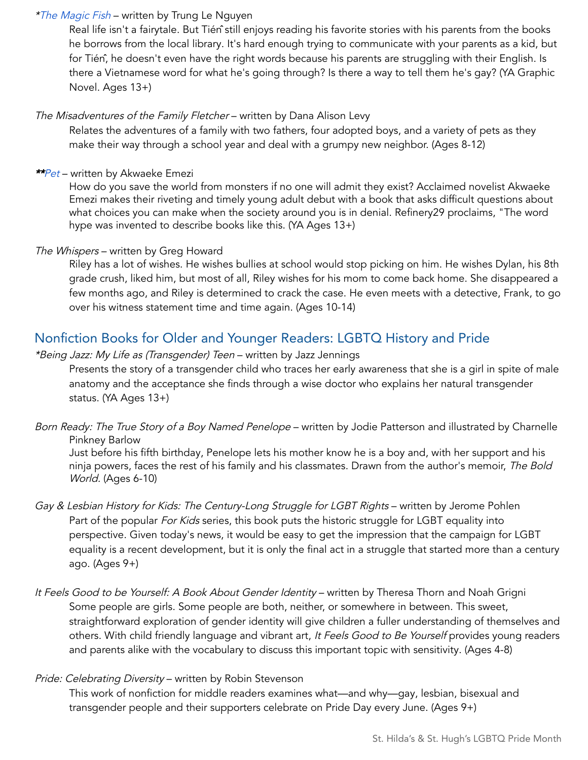#### \*The [Magic](https://soraapp.com/library/hvlany/search/query-The%20Magic%20Fish/libraries-202819,360227,89,37,62,86/page-1/360227/5275037) Fish – written by Trung Le Nguyen

Real life isn't a fairytale. But Tién<sup>®</sup> still enjoys reading his favorite stories with his parents from the books he borrows from the local library. It's hard enough trying to communicate with your parents as a kid, but for Tién̂, he doesn't even have the right words because his parents are struggling with their English. Is there a Vietnamese word for what he's going through? Is there a way to tell them he's gay? (YA Graphic Novel. Ages 13+)

#### The Misadventures of the Family Fletcher - written by Dana Alison Levy

Relates the adventures of a family with two fathers, four adopted boys, and a variety of pets as they make their way through a school year and deal with a grumpy new neighbor. (Ages 8-12)

#### \*[\\*Pet](https://soraapp.com/library/hvlany/search/query-Akwaeke%20Emezi/libraries-202819,360227,89,37,62,86/page-1/360227/4617793) – written by Akwaeke Emezi

How do you save the world from monsters if no one will admit they exist? Acclaimed novelist Akwaeke Emezi makes their riveting and timely young adult debut with a book that asks difficult questions about what choices you can make when the society around you is in denial. Refinery29 proclaims, "The word hype was invented to describe books like this. (YA Ages 13+)

#### The Whispers – written by Greg Howard

Riley has a lot of wishes. He wishes bullies at school would stop picking on him. He wishes Dylan, his 8th grade crush, liked him, but most of all, Riley wishes for his mom to come back home. She disappeared a few months ago, and Riley is determined to crack the case. He even meets with a detective, Frank, to go over his witness statement time and time again. (Ages 10-14)

## Nonfiction Books for Older and Younger Readers: LGBTQ History and Pride

#### \*Being Jazz: My Life as (Transgender) Teen – written by Jazz Jennings

Presents the story of a transgender child who traces her early awareness that she is a girl in spite of male anatomy and the acceptance she finds through a wise doctor who explains her natural transgender status. (YA Ages 13+)

Born Ready: The True Story of a Boy Named Penelope - written by Jodie Patterson and illustrated by Charnelle Pinkney Barlow

Just before his fifth birthday, Penelope lets his mother know he is a boy and, with her support and his ninja powers, faces the rest of his family and his classmates. Drawn from the author's memoir, The Bold World. (Ages 6-10)

Gay & Lesbian History for Kids: The Century-Long Struggle for LGBT Rights - written by Jerome Pohlen Part of the popular For Kids series, this book puts the historic struggle for LGBT equality into perspective. Given today's news, it would be easy to get the impression that the campaign for LGBT equality is a recent development, but it is only the final act in a struggle that started more than a century ago. (Ages 9+)

It Feels Good to be Yourself: A Book About Gender Identity - written by Theresa Thorn and Noah Grigni Some people are girls. Some people are both, neither, or somewhere in between. This sweet, straightforward exploration of gender identity will give children a fuller understanding of themselves and others. With child friendly language and vibrant art, It Feels Good to Be Yourself provides young readers and parents alike with the vocabulary to discuss this important topic with sensitivity. (Ages 4-8)

#### Pride: Celebrating Diversity - written by Robin Stevenson

This work of nonfiction for middle readers examines what—and why—gay, lesbian, bisexual and transgender people and their supporters celebrate on Pride Day every June. (Ages 9+)